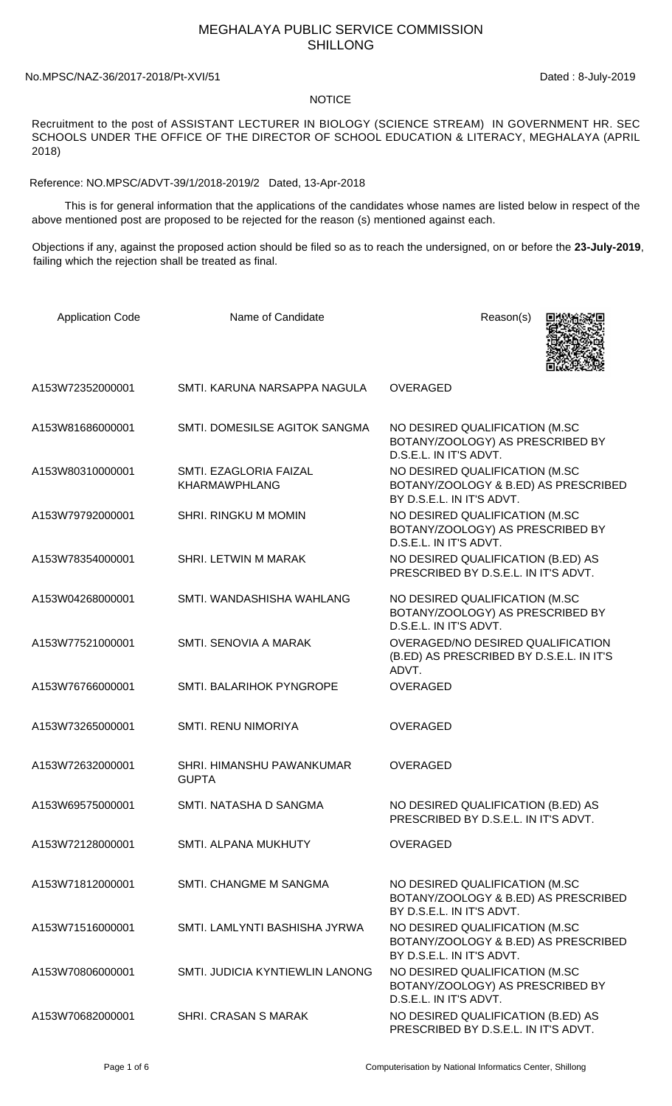## MEGHALAYA PUBLIC SERVICE COMMISSION SHILLONG

## No.MPSC/NAZ-36/2017-2018/Pt-XVI/51 Dated : 8-July-2019

## **NOTICE**

Recruitment to the post of ASSISTANT LECTURER IN BIOLOGY (SCIENCE STREAM) IN GOVERNMENT HR. SEC SCHOOLS UNDER THE OFFICE OF THE DIRECTOR OF SCHOOL EDUCATION & LITERACY, MEGHALAYA (APRIL 2018)

Reference: NO.MPSC/ADVT-39/1/2018-2019/2 Dated, 13-Apr-2018

 This is for general information that the applications of the candidates whose names are listed below in respect of the above mentioned post are proposed to be rejected for the reason (s) mentioned against each.

Objections if any, against the proposed action should be filed so as to reach the undersigned, on or before the **23-July-2019**, failing which the rejection shall be treated as final.

| <b>Application Code</b> | Name of Candidate                              | Reason(s)                                                                                           |
|-------------------------|------------------------------------------------|-----------------------------------------------------------------------------------------------------|
| A153W72352000001        | SMTI, KARUNA NARSAPPA NAGULA                   | <b>OVERAGED</b>                                                                                     |
| A153W81686000001        | SMTI. DOMESILSE AGITOK SANGMA                  | NO DESIRED QUALIFICATION (M.SC<br>BOTANY/ZOOLOGY) AS PRESCRIBED BY<br>D.S.E.L. IN IT'S ADVT.        |
| A153W80310000001        | SMTI. EZAGLORIA FAIZAL<br><b>KHARMAWPHLANG</b> | NO DESIRED QUALIFICATION (M.SC<br>BOTANY/ZOOLOGY & B.ED) AS PRESCRIBED<br>BY D.S.E.L. IN IT'S ADVT. |
| A153W79792000001        | <b>SHRI. RINGKU M MOMIN</b>                    | NO DESIRED QUALIFICATION (M.SC<br>BOTANY/ZOOLOGY) AS PRESCRIBED BY<br>D.S.E.L. IN IT'S ADVT.        |
| A153W78354000001        | SHRI. LETWIN M MARAK                           | NO DESIRED QUALIFICATION (B.ED) AS<br>PRESCRIBED BY D.S.E.L. IN IT'S ADVT.                          |
| A153W04268000001        | SMTI. WANDASHISHA WAHLANG                      | NO DESIRED QUALIFICATION (M.SC<br>BOTANY/ZOOLOGY) AS PRESCRIBED BY<br>D.S.E.L. IN IT'S ADVT.        |
| A153W77521000001        | SMTI. SENOVIA A MARAK                          | OVERAGED/NO DESIRED QUALIFICATION<br>(B.ED) AS PRESCRIBED BY D.S.E.L. IN IT'S<br>ADVT.              |
| A153W76766000001        | SMTI. BALARIHOK PYNGROPE                       | <b>OVERAGED</b>                                                                                     |
| A153W73265000001        | <b>SMTI. RENU NIMORIYA</b>                     | <b>OVERAGED</b>                                                                                     |
| A153W72632000001        | SHRI. HIMANSHU PAWANKUMAR<br><b>GUPTA</b>      | <b>OVERAGED</b>                                                                                     |
| A153W69575000001        | SMTI. NATASHA D SANGMA                         | NO DESIRED QUALIFICATION (B.ED) AS<br>PRESCRIBED BY D.S.E.L. IN IT'S ADVT.                          |
| A153W72128000001        | SMTI. ALPANA MUKHUTY                           | <b>OVERAGED</b>                                                                                     |
| A153W71812000001        | SMTI. CHANGME M SANGMA                         | NO DESIRED QUALIFICATION (M.SC<br>BOTANY/ZOOLOGY & B.ED) AS PRESCRIBED<br>BY D.S.E.L. IN IT'S ADVT. |
| A153W71516000001        | SMTI. LAMLYNTI BASHISHA JYRWA                  | NO DESIRED QUALIFICATION (M.SC<br>BOTANY/ZOOLOGY & B.ED) AS PRESCRIBED<br>BY D.S.E.L. IN IT'S ADVT. |
| A153W70806000001        | SMTI. JUDICIA KYNTIEWLIN LANONG                | NO DESIRED QUALIFICATION (M.SC<br>BOTANY/ZOOLOGY) AS PRESCRIBED BY<br>D.S.E.L. IN IT'S ADVT.        |
| A153W70682000001        | SHRI. CRASAN S MARAK                           | NO DESIRED QUALIFICATION (B.ED) AS<br>PRESCRIBED BY D.S.E.L. IN IT'S ADVT.                          |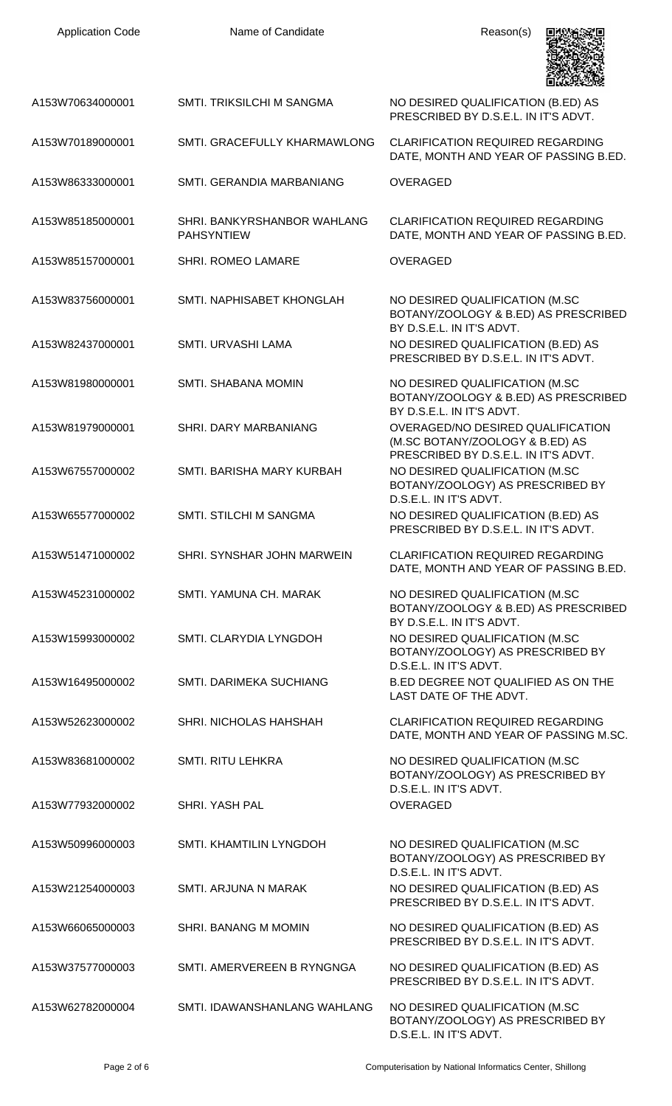| <b>Application Code</b> | Name of Candidate                                | Reason(s)                                                                                                    |
|-------------------------|--------------------------------------------------|--------------------------------------------------------------------------------------------------------------|
| A153W70634000001        | <b>SMTI. TRIKSILCHI M SANGMA</b>                 | NO DESIRED QUALIFICATION (B.ED) AS<br>PRESCRIBED BY D.S.E.L. IN IT'S ADVT.                                   |
| A153W70189000001        | SMTI. GRACEFULLY KHARMAWLONG                     | <b>CLARIFICATION REQUIRED REGARDING</b><br>DATE, MONTH AND YEAR OF PASSING B.ED.                             |
| A153W86333000001        | SMTI. GERANDIA MARBANIANG                        | <b>OVERAGED</b>                                                                                              |
| A153W85185000001        | SHRI. BANKYRSHANBOR WAHLANG<br><b>PAHSYNTIEW</b> | <b>CLARIFICATION REQUIRED REGARDING</b><br>DATE, MONTH AND YEAR OF PASSING B.ED.                             |
| A153W85157000001        | <b>SHRI. ROMEO LAMARE</b>                        | <b>OVERAGED</b>                                                                                              |
| A153W83756000001        | SMTI. NAPHISABET KHONGLAH                        | NO DESIRED QUALIFICATION (M.SC<br>BOTANY/ZOOLOGY & B.ED) AS PRESCRIBED<br>BY D.S.E.L. IN IT'S ADVT.          |
| A153W82437000001        | SMTI. URVASHI LAMA                               | NO DESIRED QUALIFICATION (B.ED) AS<br>PRESCRIBED BY D.S.E.L. IN IT'S ADVT.                                   |
| A153W81980000001        | SMTI. SHABANA MOMIN                              | NO DESIRED QUALIFICATION (M.SC<br>BOTANY/ZOOLOGY & B.ED) AS PRESCRIBED<br>BY D.S.E.L. IN IT'S ADVT.          |
| A153W81979000001        | SHRI. DARY MARBANIANG                            | OVERAGED/NO DESIRED QUALIFICATION<br>(M.SC BOTANY/ZOOLOGY & B.ED) AS<br>PRESCRIBED BY D.S.E.L. IN IT'S ADVT. |
| A153W67557000002        | SMTI. BARISHA MARY KURBAH                        | NO DESIRED QUALIFICATION (M.SC<br>BOTANY/ZOOLOGY) AS PRESCRIBED BY<br>D.S.E.L. IN IT'S ADVT.                 |
| A153W65577000002        | SMTI. STILCHI M SANGMA                           | NO DESIRED QUALIFICATION (B.ED) AS<br>PRESCRIBED BY D.S.E.L. IN IT'S ADVT.                                   |
| A153W51471000002        | SHRI. SYNSHAR JOHN MARWEIN                       | <b>CLARIFICATION REQUIRED REGARDING</b><br>DATE, MONTH AND YEAR OF PASSING B.ED.                             |
| A153W45231000002        | SMTI, YAMUNA CH, MARAK                           | NO DESIRED QUALIFICATION (M.SC<br>BOTANY/ZOOLOGY & B.ED) AS PRESCRIBED<br>BY D.S.E.L. IN IT'S ADVT.          |
| A153W15993000002        | SMTI. CLARYDIA LYNGDOH                           | NO DESIRED QUALIFICATION (M.SC<br>BOTANY/ZOOLOGY) AS PRESCRIBED BY                                           |
| A153W16495000002        | SMTI. DARIMEKA SUCHIANG                          | D.S.E.L. IN IT'S ADVT.<br>B.ED DEGREE NOT QUALIFIED AS ON THE<br>LAST DATE OF THE ADVT.                      |
| A153W52623000002        | SHRI. NICHOLAS HAHSHAH                           | <b>CLARIFICATION REQUIRED REGARDING</b><br>DATE, MONTH AND YEAR OF PASSING M.SC.                             |
| A153W83681000002        | <b>SMTI. RITU LEHKRA</b>                         | NO DESIRED QUALIFICATION (M.SC<br>BOTANY/ZOOLOGY) AS PRESCRIBED BY                                           |
| A153W77932000002        | <b>SHRI, YASH PAL</b>                            | D.S.E.L. IN IT'S ADVT.<br><b>OVERAGED</b>                                                                    |
| A153W50996000003        | SMTI. KHAMTILIN LYNGDOH                          | NO DESIRED QUALIFICATION (M.SC<br>BOTANY/ZOOLOGY) AS PRESCRIBED BY<br>D.S.E.L. IN IT'S ADVT.                 |
| A153W21254000003        | <b>SMTI. ARJUNA N MARAK</b>                      | NO DESIRED QUALIFICATION (B.ED) AS<br>PRESCRIBED BY D.S.E.L. IN IT'S ADVT.                                   |
| A153W66065000003        | SHRI. BANANG M MOMIN                             | NO DESIRED QUALIFICATION (B.ED) AS<br>PRESCRIBED BY D.S.E.L. IN IT'S ADVT.                                   |
| A153W37577000003        | SMTI. AMERVEREEN B RYNGNGA                       | NO DESIRED QUALIFICATION (B.ED) AS<br>PRESCRIBED BY D.S.E.L. IN IT'S ADVT.                                   |
| A153W62782000004        | SMTI. IDAWANSHANLANG WAHLANG                     | NO DESIRED QUALIFICATION (M.SC<br>BOTANY/ZOOLOGY) AS PRESCRIBED BY<br>D.S.E.L. IN IT'S ADVT.                 |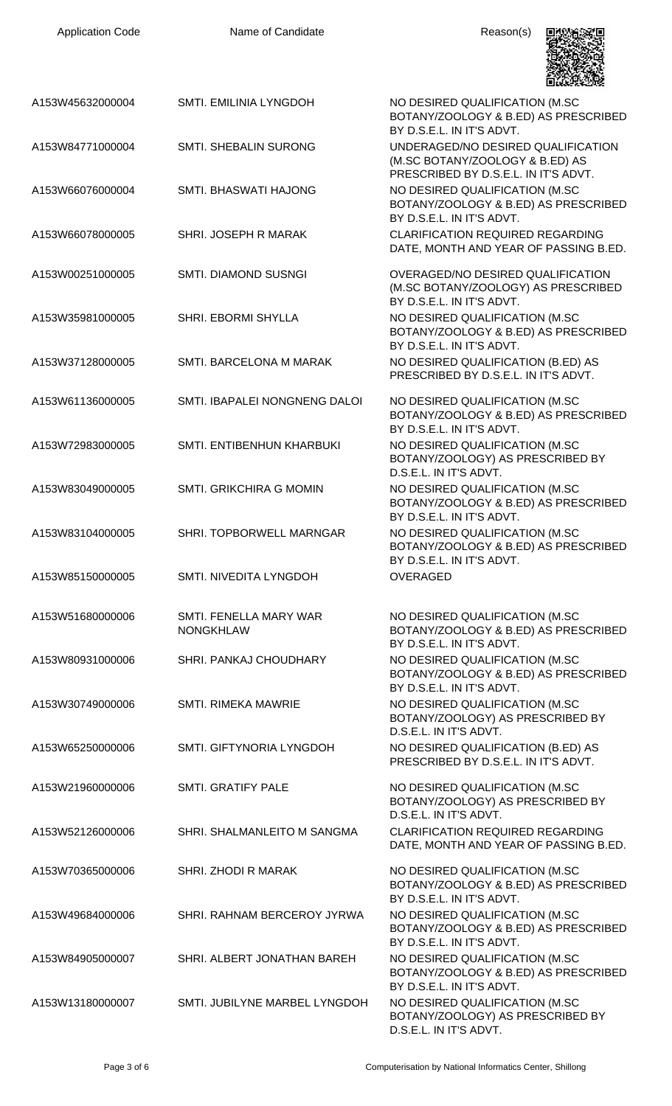| <b>Application Code</b> | Name of Candidate                          | Reason(s)                                                                                                     |
|-------------------------|--------------------------------------------|---------------------------------------------------------------------------------------------------------------|
| A153W45632000004        | SMTI. EMILINIA LYNGDOH                     | NO DESIRED QUALIFICATION (M.SC<br>BOTANY/ZOOLOGY & B.ED) AS PRESCRIBED<br>BY D.S.E.L. IN IT'S ADVT.           |
| A153W84771000004        | <b>SMTI. SHEBALIN SURONG</b>               | UNDERAGED/NO DESIRED QUALIFICATION<br>(M.SC BOTANY/ZOOLOGY & B.ED) AS<br>PRESCRIBED BY D.S.E.L. IN IT'S ADVT. |
| A153W66076000004        | SMTI. BHASWATI HAJONG                      | NO DESIRED QUALIFICATION (M.SC<br>BOTANY/ZOOLOGY & B.ED) AS PRESCRIBED<br>BY D.S.E.L. IN IT'S ADVT.           |
| A153W66078000005        | SHRI. JOSEPH R MARAK                       | <b>CLARIFICATION REQUIRED REGARDING</b><br>DATE, MONTH AND YEAR OF PASSING B.ED.                              |
| A153W00251000005        | SMTI. DIAMOND SUSNGI                       | OVERAGED/NO DESIRED QUALIFICATION<br>(M.SC BOTANY/ZOOLOGY) AS PRESCRIBED<br>BY D.S.E.L. IN IT'S ADVT.         |
| A153W35981000005        | SHRI. EBORMI SHYLLA                        | NO DESIRED QUALIFICATION (M.SC<br>BOTANY/ZOOLOGY & B.ED) AS PRESCRIBED<br>BY D.S.E.L. IN IT'S ADVT.           |
| A153W37128000005        | SMTI. BARCELONA M MARAK                    | NO DESIRED QUALIFICATION (B.ED) AS<br>PRESCRIBED BY D.S.E.L. IN IT'S ADVT.                                    |
| A153W61136000005        | SMTI. IBAPALEI NONGNENG DALOI              | NO DESIRED QUALIFICATION (M.SC<br>BOTANY/ZOOLOGY & B.ED) AS PRESCRIBED<br>BY D.S.E.L. IN IT'S ADVT.           |
| A153W72983000005        | SMTI. ENTIBENHUN KHARBUKI                  | NO DESIRED QUALIFICATION (M.SC<br>BOTANY/ZOOLOGY) AS PRESCRIBED BY<br>D.S.E.L. IN IT'S ADVT.                  |
| A153W83049000005        | <b>SMTI, GRIKCHIRA G MOMIN</b>             | NO DESIRED QUALIFICATION (M.SC<br>BOTANY/ZOOLOGY & B.ED) AS PRESCRIBED<br>BY D.S.E.L. IN IT'S ADVT.           |
| A153W83104000005        | SHRI. TOPBORWELL MARNGAR                   | NO DESIRED QUALIFICATION (M.SC<br>BOTANY/ZOOLOGY & B.ED) AS PRESCRIBED<br>BY D.S.E.L. IN IT'S ADVT.           |
| A153W85150000005        | SMTI. NIVEDITA LYNGDOH                     | <b>OVERAGED</b>                                                                                               |
| A153W51680000006        | SMTI. FENELLA MARY WAR<br><b>NONGKHLAW</b> | NO DESIRED QUALIFICATION (M.SC<br>BOTANY/ZOOLOGY & B.ED) AS PRESCRIBED<br>BY D.S.E.L. IN IT'S ADVT.           |
| A153W80931000006        | SHRI. PANKAJ CHOUDHARY                     | NO DESIRED QUALIFICATION (M.SC<br>BOTANY/ZOOLOGY & B.ED) AS PRESCRIBED<br>BY D.S.E.L. IN IT'S ADVT.           |
| A153W30749000006        | SMTI. RIMEKA MAWRIE                        | NO DESIRED QUALIFICATION (M.SC<br>BOTANY/ZOOLOGY) AS PRESCRIBED BY<br>D.S.E.L. IN IT'S ADVT.                  |
| A153W65250000006        | SMTI. GIFTYNORIA LYNGDOH                   | NO DESIRED QUALIFICATION (B.ED) AS<br>PRESCRIBED BY D.S.E.L. IN IT'S ADVT.                                    |
| A153W21960000006        | <b>SMTI. GRATIFY PALE</b>                  | NO DESIRED QUALIFICATION (M.SC<br>BOTANY/ZOOLOGY) AS PRESCRIBED BY<br>D.S.E.L. IN IT'S ADVT.                  |
| A153W52126000006        | SHRI. SHALMANLEITO M SANGMA                | <b>CLARIFICATION REQUIRED REGARDING</b><br>DATE, MONTH AND YEAR OF PASSING B.ED.                              |
| A153W70365000006        | SHRI. ZHODI R MARAK                        | NO DESIRED QUALIFICATION (M.SC<br>BOTANY/ZOOLOGY & B.ED) AS PRESCRIBED<br>BY D.S.E.L. IN IT'S ADVT.           |
| A153W49684000006        | SHRI. RAHNAM BERCEROY JYRWA                | NO DESIRED QUALIFICATION (M.SC<br>BOTANY/ZOOLOGY & B.ED) AS PRESCRIBED<br>BY D.S.E.L. IN IT'S ADVT.           |
| A153W84905000007        | SHRI. ALBERT JONATHAN BAREH                | NO DESIRED QUALIFICATION (M.SC<br>BOTANY/ZOOLOGY & B.ED) AS PRESCRIBED<br>BY D.S.E.L. IN IT'S ADVT.           |
| A153W13180000007        | SMTI. JUBILYNE MARBEL LYNGDOH              | NO DESIRED QUALIFICATION (M.SC<br>BOTANY/ZOOLOGY) AS PRESCRIBED BY                                            |

D.S.E.L. IN IT'S ADVT.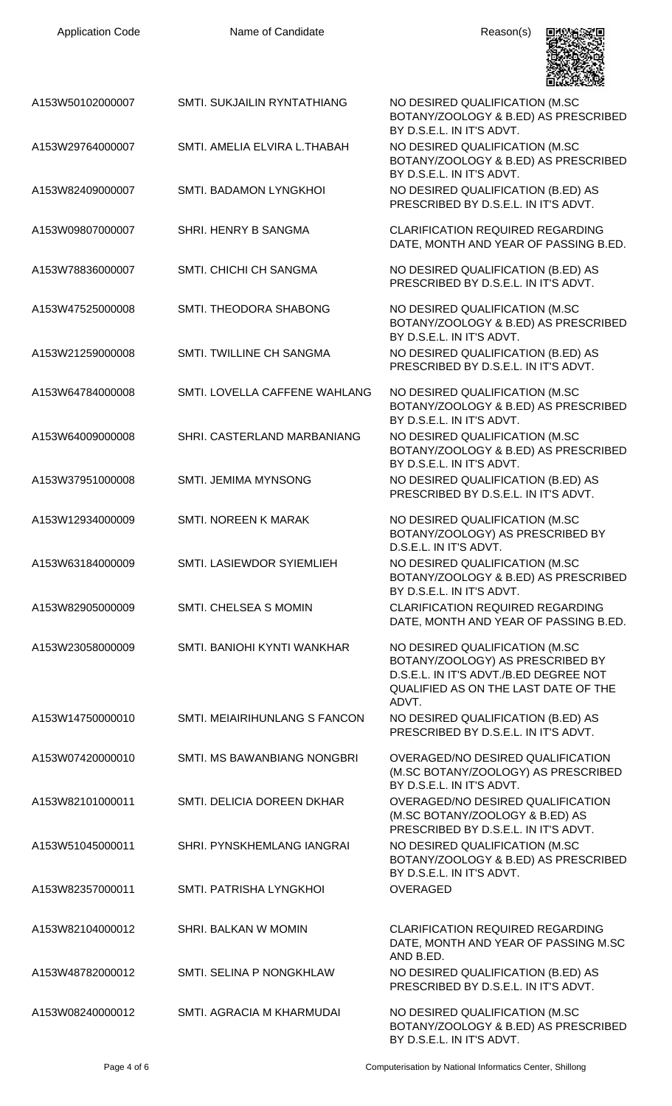| <b>Application Code</b> |  |
|-------------------------|--|
|-------------------------|--|

Name of Candidate Reason(s)



|                  |                                    | 国家联邦政府                                                                                                                                                        |
|------------------|------------------------------------|---------------------------------------------------------------------------------------------------------------------------------------------------------------|
| A153W50102000007 | SMTI. SUKJAILIN RYNTATHIANG        | NO DESIRED QUALIFICATION (M.SC<br>BOTANY/ZOOLOGY & B.ED) AS PRESCRIBED<br>BY D.S.E.L. IN IT'S ADVT.                                                           |
| A153W29764000007 | SMTI. AMELIA ELVIRA L.THABAH       | NO DESIRED QUALIFICATION (M.SC<br>BOTANY/ZOOLOGY & B.ED) AS PRESCRIBED<br>BY D.S.E.L. IN IT'S ADVT.                                                           |
| A153W82409000007 | SMTI. BADAMON LYNGKHOI             | NO DESIRED QUALIFICATION (B.ED) AS<br>PRESCRIBED BY D.S.E.L. IN IT'S ADVT.                                                                                    |
| A153W09807000007 | SHRI. HENRY B SANGMA               | <b>CLARIFICATION REQUIRED REGARDING</b><br>DATE, MONTH AND YEAR OF PASSING B.ED.                                                                              |
| A153W78836000007 | SMTI. CHICHI CH SANGMA             | NO DESIRED QUALIFICATION (B.ED) AS<br>PRESCRIBED BY D.S.E.L. IN IT'S ADVT.                                                                                    |
| A153W47525000008 | SMTI. THEODORA SHABONG             | NO DESIRED QUALIFICATION (M.SC<br>BOTANY/ZOOLOGY & B.ED) AS PRESCRIBED<br>BY D.S.E.L. IN IT'S ADVT.                                                           |
| A153W21259000008 | <b>SMTI. TWILLINE CH SANGMA</b>    | NO DESIRED QUALIFICATION (B.ED) AS<br>PRESCRIBED BY D.S.E.L. IN IT'S ADVT.                                                                                    |
| A153W64784000008 | SMTI. LOVELLA CAFFENE WAHLANG      | NO DESIRED QUALIFICATION (M.SC<br>BOTANY/ZOOLOGY & B.ED) AS PRESCRIBED<br>BY D.S.E.L. IN IT'S ADVT.                                                           |
| A153W64009000008 | SHRI. CASTERLAND MARBANIANG        | NO DESIRED QUALIFICATION (M.SC<br>BOTANY/ZOOLOGY & B.ED) AS PRESCRIBED<br>BY D.S.E.L. IN IT'S ADVT.                                                           |
| A153W37951000008 | <b>SMTI. JEMIMA MYNSONG</b>        | NO DESIRED QUALIFICATION (B.ED) AS<br>PRESCRIBED BY D.S.E.L. IN IT'S ADVT.                                                                                    |
| A153W12934000009 | <b>SMTI. NOREEN K MARAK</b>        | NO DESIRED QUALIFICATION (M.SC<br>BOTANY/ZOOLOGY) AS PRESCRIBED BY<br>D.S.E.L. IN IT'S ADVT.                                                                  |
| A153W63184000009 | SMTI. LASIEWDOR SYIEMLIEH          | NO DESIRED QUALIFICATION (M.SC<br>BOTANY/ZOOLOGY & B.ED) AS PRESCRIBED<br>BY D.S.E.L. IN IT'S ADVT.                                                           |
| A153W82905000009 | SMTI. CHELSEA S MOMIN              | <b>CLARIFICATION REQUIRED REGARDING</b><br>DATE, MONTH AND YEAR OF PASSING B.ED.                                                                              |
| A153W23058000009 | SMTI. BANIOHI KYNTI WANKHAR        | NO DESIRED QUALIFICATION (M.SC<br>BOTANY/ZOOLOGY) AS PRESCRIBED BY<br>D.S.E.L. IN IT'S ADVT./B.ED DEGREE NOT<br>QUALIFIED AS ON THE LAST DATE OF THE<br>ADVT. |
| A153W14750000010 | SMTI. MEIAIRIHUNLANG S FANCON      | NO DESIRED QUALIFICATION (B.ED) AS<br>PRESCRIBED BY D.S.E.L. IN IT'S ADVT.                                                                                    |
| A153W07420000010 | <b>SMTI. MS BAWANBIANG NONGBRI</b> | OVERAGED/NO DESIRED QUALIFICATION<br>(M.SC BOTANY/ZOOLOGY) AS PRESCRIBED<br>BY D.S.E.L. IN IT'S ADVT.                                                         |
| A153W82101000011 | SMTI. DELICIA DOREEN DKHAR         | OVERAGED/NO DESIRED QUALIFICATION<br>(M.SC BOTANY/ZOOLOGY & B.ED) AS<br>PRESCRIBED BY D.S.E.L. IN IT'S ADVT.                                                  |
| A153W51045000011 | SHRI. PYNSKHEMLANG IANGRAI         | NO DESIRED QUALIFICATION (M.SC<br>BOTANY/ZOOLOGY & B.ED) AS PRESCRIBED<br>BY D.S.E.L. IN IT'S ADVT.                                                           |
| A153W82357000011 | SMTI. PATRISHA LYNGKHOI            | <b>OVERAGED</b>                                                                                                                                               |
| A153W82104000012 | SHRI. BALKAN W MOMIN               | <b>CLARIFICATION REQUIRED REGARDING</b><br>DATE, MONTH AND YEAR OF PASSING M.SC<br>AND B.ED.                                                                  |
| A153W48782000012 | SMTI. SELINA P NONGKHLAW           | NO DESIRED QUALIFICATION (B.ED) AS<br>PRESCRIBED BY D.S.E.L. IN IT'S ADVT.                                                                                    |
| A153W08240000012 | SMTI. AGRACIA M KHARMUDAI          | NO DESIRED QUALIFICATION (M.SC<br>BOTANY/ZOOLOGY & B.ED) AS PRESCRIBED<br>BY D.S.E.L. IN IT'S ADVT.                                                           |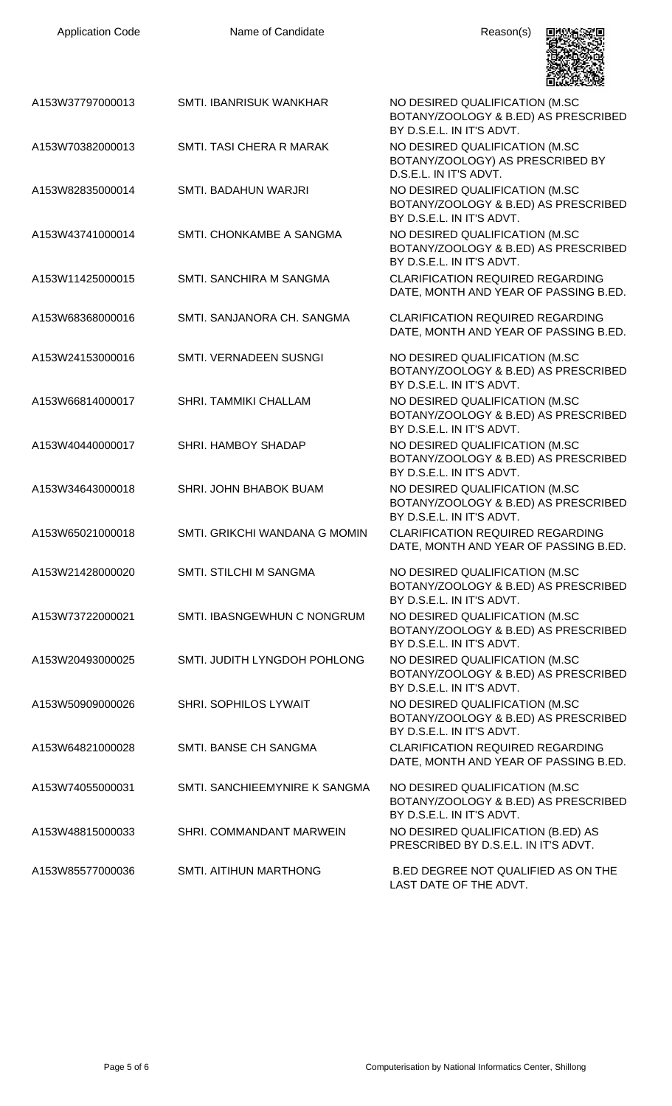| <b>Application Code</b> | Name of Candidate             | Reason(s)                                                                                           |
|-------------------------|-------------------------------|-----------------------------------------------------------------------------------------------------|
| A153W37797000013        | SMTI. IBANRISUK WANKHAR       | NO DESIRED QUALIFICATION (M.SC<br>BOTANY/ZOOLOGY & B.ED) AS PRESCRIBED<br>BY D.S.E.L. IN IT'S ADVT. |
| A153W70382000013        | SMTI. TASI CHERA R MARAK      | NO DESIRED QUALIFICATION (M.SC<br>BOTANY/ZOOLOGY) AS PRESCRIBED BY<br>D.S.E.L. IN IT'S ADVT.        |
| A153W82835000014        | SMTI. BADAHUN WARJRI          | NO DESIRED QUALIFICATION (M.SC<br>BOTANY/ZOOLOGY & B.ED) AS PRESCRIBED<br>BY D.S.E.L. IN IT'S ADVT. |
| A153W43741000014        | SMTI. CHONKAMBE A SANGMA      | NO DESIRED QUALIFICATION (M.SC<br>BOTANY/ZOOLOGY & B.ED) AS PRESCRIBED<br>BY D.S.E.L. IN IT'S ADVT. |
| A153W11425000015        | SMTI. SANCHIRA M SANGMA       | <b>CLARIFICATION REQUIRED REGARDING</b><br>DATE, MONTH AND YEAR OF PASSING B.ED.                    |
| A153W68368000016        | SMTI. SANJANORA CH. SANGMA    | <b>CLARIFICATION REQUIRED REGARDING</b><br>DATE, MONTH AND YEAR OF PASSING B.ED.                    |
| A153W24153000016        | SMTI. VERNADEEN SUSNGI        | NO DESIRED QUALIFICATION (M.SC<br>BOTANY/ZOOLOGY & B.ED) AS PRESCRIBED<br>BY D.S.E.L. IN IT'S ADVT. |
| A153W66814000017        | SHRI. TAMMIKI CHALLAM         | NO DESIRED QUALIFICATION (M.SC<br>BOTANY/ZOOLOGY & B.ED) AS PRESCRIBED<br>BY D.S.E.L. IN IT'S ADVT. |
| A153W40440000017        | SHRI. HAMBOY SHADAP           | NO DESIRED QUALIFICATION (M.SC<br>BOTANY/ZOOLOGY & B.ED) AS PRESCRIBED<br>BY D.S.E.L. IN IT'S ADVT. |
| A153W34643000018        | SHRI. JOHN BHABOK BUAM        | NO DESIRED QUALIFICATION (M.SC<br>BOTANY/ZOOLOGY & B.ED) AS PRESCRIBED<br>BY D.S.E.L. IN IT'S ADVT. |
| A153W65021000018        | SMTI. GRIKCHI WANDANA G MOMIN | <b>CLARIFICATION REQUIRED REGARDING</b><br>DATE, MONTH AND YEAR OF PASSING B.ED.                    |
| A153W21428000020        | <b>SMTI. STILCHI M SANGMA</b> | NO DESIRED QUALIFICATION (M.SC<br>BOTANY/ZOOLOGY & B.ED) AS PRESCRIBED<br>BY D.S.E.L. IN IT'S ADVT. |
| A153W73722000021        | SMTI. IBASNGEWHUN C NONGRUM   | NO DESIRED QUALIFICATION (M.SC<br>BOTANY/ZOOLOGY & B.ED) AS PRESCRIBED<br>BY D.S.E.L. IN IT'S ADVT. |
| A153W20493000025        | SMTI. JUDITH LYNGDOH POHLONG  | NO DESIRED QUALIFICATION (M.SC<br>BOTANY/ZOOLOGY & B.ED) AS PRESCRIBED<br>BY D.S.E.L. IN IT'S ADVT. |
| A153W50909000026        | SHRI. SOPHILOS LYWAIT         | NO DESIRED QUALIFICATION (M.SC<br>BOTANY/ZOOLOGY & B.ED) AS PRESCRIBED<br>BY D.S.E.L. IN IT'S ADVT. |
| A153W64821000028        | SMTI. BANSE CH SANGMA         | <b>CLARIFICATION REQUIRED REGARDING</b><br>DATE, MONTH AND YEAR OF PASSING B.ED.                    |
| A153W74055000031        | SMTI. SANCHIEEMYNIRE K SANGMA | NO DESIRED QUALIFICATION (M.SC<br>BOTANY/ZOOLOGY & B.ED) AS PRESCRIBED<br>BY D.S.E.L. IN IT'S ADVT. |
| A153W48815000033        | SHRI. COMMANDANT MARWEIN      | NO DESIRED QUALIFICATION (B.ED) AS<br>PRESCRIBED BY D.S.E.L. IN IT'S ADVT.                          |
| A153W85577000036        | <b>SMTI. AITIHUN MARTHONG</b> | B.ED DEGREE NOT QUALIFIED AS ON THE<br>LAST DATE OF THE ADVT.                                       |